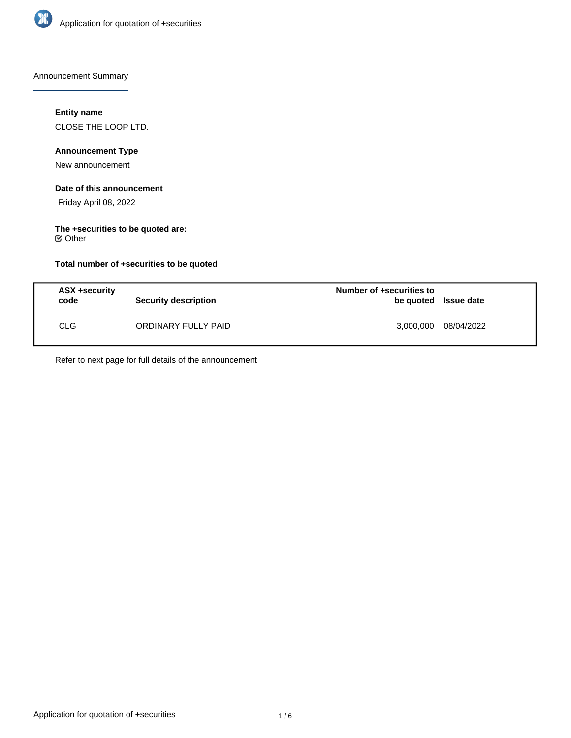

Announcement Summary

## **Entity name**

CLOSE THE LOOP LTD.

# **Announcement Type**

New announcement

#### **Date of this announcement**

Friday April 08, 2022

# **The +securities to be quoted are:**

Other

## **Total number of +securities to be quoted**

| ASX +security<br>code | Security description | Number of +securities to<br>be quoted Issue date |            |
|-----------------------|----------------------|--------------------------------------------------|------------|
| <b>CLG</b>            | ORDINARY FULLY PAID  | 3,000,000                                        | 08/04/2022 |

Refer to next page for full details of the announcement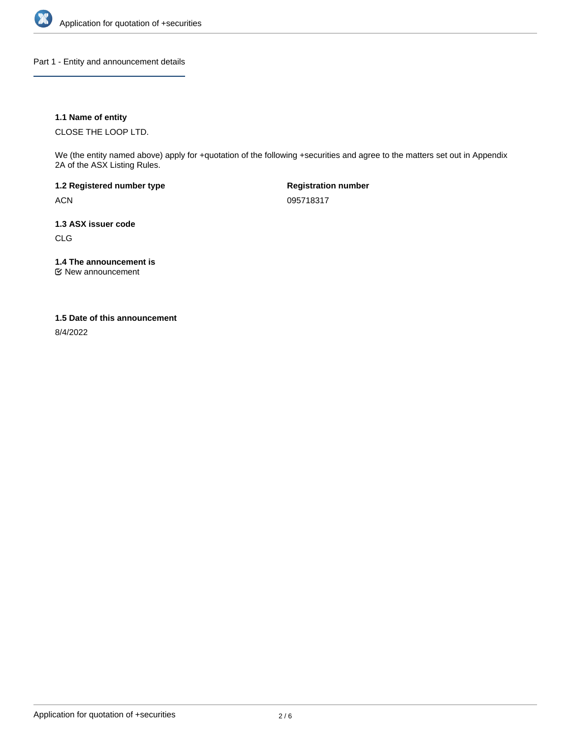

Part 1 - Entity and announcement details

## **1.1 Name of entity**

CLOSE THE LOOP LTD.

We (the entity named above) apply for +quotation of the following +securities and agree to the matters set out in Appendix 2A of the ASX Listing Rules.

**1.2 Registered number type** ACN

**Registration number** 095718317

**1.3 ASX issuer code**

CLG

**1.4 The announcement is**

New announcement

#### **1.5 Date of this announcement**

8/4/2022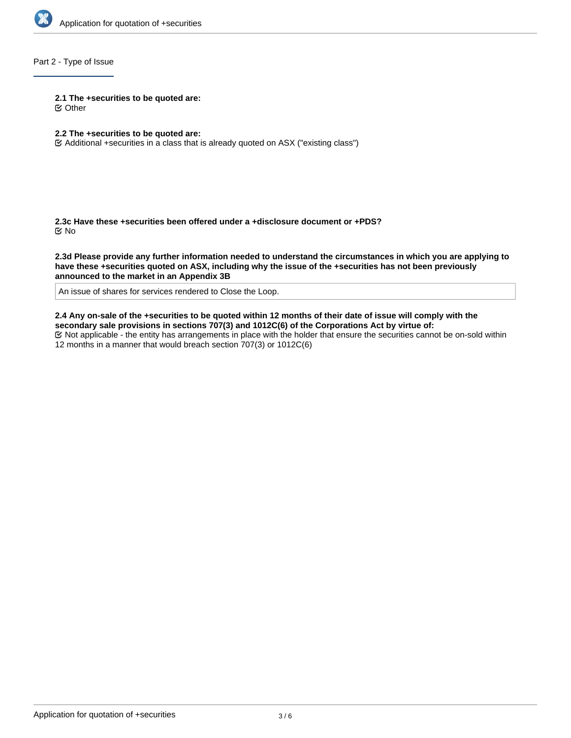

## Part 2 - Type of Issue

**2.1 The +securities to be quoted are:**

Other

## **2.2 The +securities to be quoted are:**

Additional +securities in a class that is already quoted on ASX ("existing class")

**2.3c Have these +securities been offered under a +disclosure document or +PDS?** No

**2.3d Please provide any further information needed to understand the circumstances in which you are applying to have these +securities quoted on ASX, including why the issue of the +securities has not been previously announced to the market in an Appendix 3B**

An issue of shares for services rendered to Close the Loop.

**2.4 Any on-sale of the +securities to be quoted within 12 months of their date of issue will comply with the secondary sale provisions in sections 707(3) and 1012C(6) of the Corporations Act by virtue of:** Not applicable - the entity has arrangements in place with the holder that ensure the securities cannot be on-sold within 12 months in a manner that would breach section 707(3) or 1012C(6)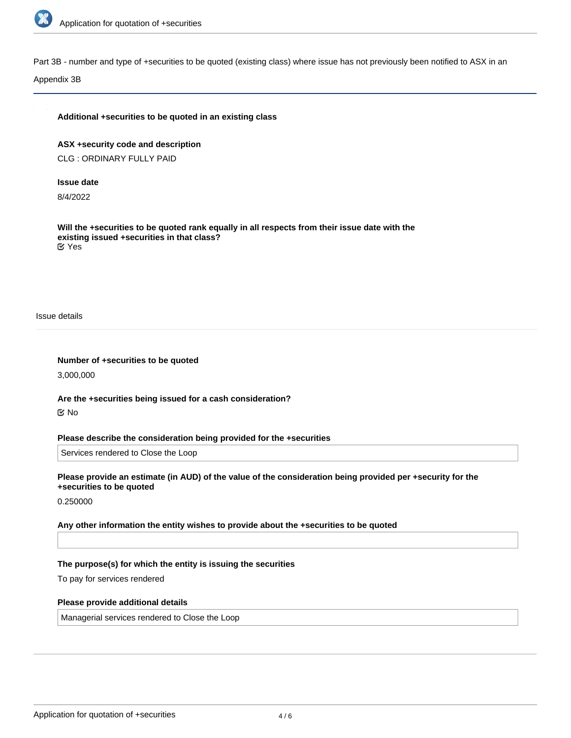

Part 3B - number and type of +securities to be quoted (existing class) where issue has not previously been notified to ASX in an

Appendix 3B

#### **Additional +securities to be quoted in an existing class**

**ASX +security code and description** CLG : ORDINARY FULLY PAID

#### **Issue date**

8/4/2022

**Will the +securities to be quoted rank equally in all respects from their issue date with the existing issued +securities in that class?** Yes

Issue details

**Number of +securities to be quoted** 3,000,000

**Are the +securities being issued for a cash consideration?** No

**Please describe the consideration being provided for the +securities**

Services rendered to Close the Loop

**Please provide an estimate (in AUD) of the value of the consideration being provided per +security for the +securities to be quoted**

0.250000

**Any other information the entity wishes to provide about the +securities to be quoted**

#### **The purpose(s) for which the entity is issuing the securities**

To pay for services rendered

#### **Please provide additional details**

Managerial services rendered to Close the Loop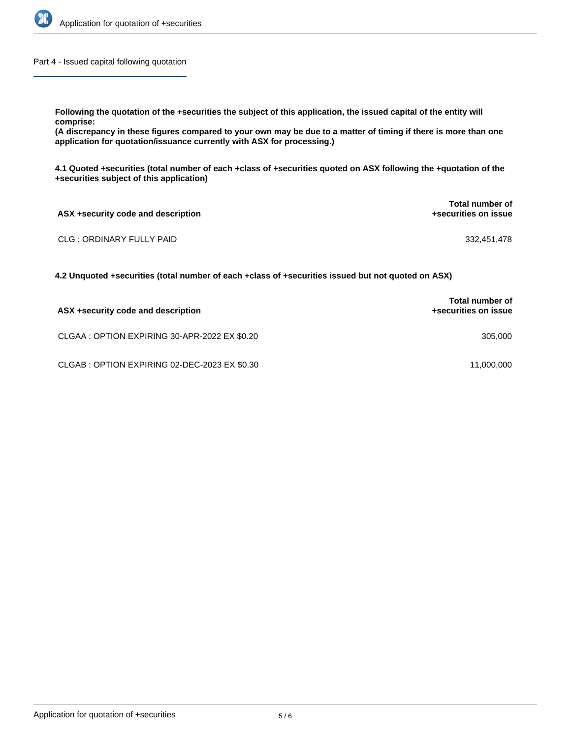

Part 4 - Issued capital following quotation

**Following the quotation of the +securities the subject of this application, the issued capital of the entity will**

**comprise:**

**(A discrepancy in these figures compared to your own may be due to a matter of timing if there is more than one application for quotation/issuance currently with ASX for processing.)**

**4.1 Quoted +securities (total number of each +class of +securities quoted on ASX following the +quotation of the +securities subject of this application)**

| ASX +security code and description | Total number of<br>+securities on issue |  |
|------------------------------------|-----------------------------------------|--|
| CLG : ORDINARY FULLY PAID          | 332.451.478                             |  |

**4.2 Unquoted +securities (total number of each +class of +securities issued but not quoted on ASX)**

| ASX +security code and description            | <b>Total number of</b><br>+securities on issue |
|-----------------------------------------------|------------------------------------------------|
| CLGAA : OPTION EXPIRING 30-APR-2022 EX \$0.20 | 305,000                                        |
| CLGAB: OPTION EXPIRING 02-DEC-2023 EX \$0.30  | 11,000,000                                     |